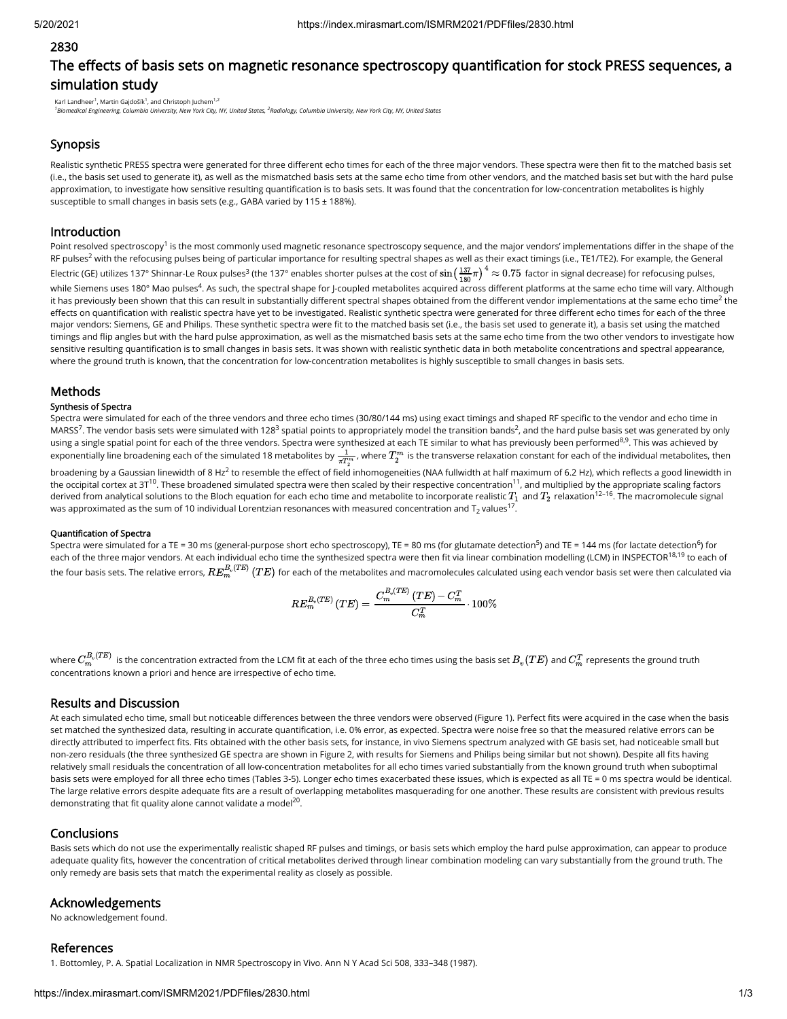#### 2830

# The effects of basis sets on magnetic resonance spectroscopy quantification for stock PRESS sequences, a simulation study

Karl Landheer<sup>1</sup>, Martin Gajdošík<sup>1</sup>, and Christoph Juchem<sup>1,2</sup>

<sup>1</sup> Biomedical Engineering, Columbia University, New York City, NY, United States, <sup>2</sup>Radiology, Columbia University, New York City, NY, United States

## Synopsis

Realistic synthetic PRESS spectra were generated for three different echo times for each of the three major vendors. These spectra were then fit to the matched basis set (i.e., the basis set used to generate it), as well as the mismatched basis sets at the same echo time from other vendors, and the matched basis set but with the hard pulse approximation, to investigate how sensitive resulting quantification is to basis sets. It was found that the concentration for low-concentration metabolites is highly susceptible to small changes in basis sets (e.g., GABA varied by 115 ± 188%).

## Introduction

Point resolved spectroscopy<sup>1</sup> is the most commonly used magnetic resonance spectroscopy sequence, and the major vendors' implementations differ in the shape of the RF pulses<sup>2</sup> with the refocusing pulses being of particular importance for resulting spectral shapes as well as their exact timings (i.e., TE1/TE2). For example, the General Electric (GE) utilizes 137° Shinnar-Le Roux pulses<sup>3</sup> (the 137° enables shorter pulses at the cost of  $\sin\bigl( \frac{137}{180} \pi \bigr)^4 \approx 0.75$  factor in signal decrease) for refocusing pulses, while Siemens uses 180° Mao pulses<sup>4</sup>. As such, the spectral shape for J-coupled metabolites acquired across different platforms at the same echo time will vary. Although it has previously been shown that this can result in substantially different spectral shapes obtained from the different vendor implementations at the same echo time $^2$  the effects on quantification with realistic spectra have yet to be investigated. Realistic synthetic spectra were generated for three different echo times for each of the three major vendors: Siemens, GE and Philips. These synthetic spectra were fit to the matched basis set (i.e., the basis set used to generate it), a basis set using the matched timings and flip angles but with the hard pulse approximation, as well as the mismatched basis sets at the same echo time from the two other vendors to investigate how sensitive resulting quantification is to small changes in basis sets. It was shown with realistic synthetic data in both metabolite concentrations and spectral appearance, where the ground truth is known, that the concentration for low-concentration metabolites is highly susceptible to small changes in basis sets. 4

### **Methods**

#### Synthesis of Spectra

Spectra were simulated for each of the three vendors and three echo times (30/80/144 ms) using exact timings and shaped RF specific to the vendor and echo time in MARSS<sup>7</sup>. The vendor basis sets were simulated with 128<sup>3</sup> spatial points to appropriately model the transition bands<sup>2</sup>, and the hard pulse basis set was generated by only using a single spatial point for each of the three vendors. Spectra were synthesized at each TE similar to what has previously been performed<sup>8,9</sup>. This was achieved by exponentially line broadening each of the simulated 18 metabolites by  $\frac{1}{\pi T_2^m}$ , where  $T_2^m$  is the transverse relaxation constant for each of the individual metabolites, then

broadening by a Gaussian linewidth of 8 Hz<sup>2</sup> to resemble the effect of field inhomogeneities (NAA fullwidth at half maximum of 6.2 Hz), which reflects a good linewidth in the occipital cortex at 3T<sup>10</sup>. These broadened simulated spectra were then scaled by their respective concentration<sup>11</sup>, and multiplied by the appropriate scaling factors derived from analytical solutions to the Bloch equation for each echo time and metabolite to incorporate realistic  $T_1$  and  $T_2$  relaxation  $^{12-16}$ . The macromolecule signal was approximated as the sum of 10 individual Lorentzian resonances with measured concentration and T $_2$  values<sup>17</sup>.

#### Quantification of Spectra

Spectra were simulated for a TE = 30 ms (general-purpose short echo spectroscopy), TE = 80 ms (for glutamate detection<sup>5</sup>) and TE = 144 ms (for lactate detection<sup>6</sup>) for each of the three major vendors. At each individual echo time the synthesized spectra were then fit via linear combination modelling (LCM) in INSPECTOR  $^{18,19}$  to each of the four basis sets. The relative errors,  $RE^{B_v(TE)}_m\left(TE\right)$  for each of the metabolites and macromolecules calculated using each vendor basis set were then calculated via

$$
RE_m^{B_v(TE)}\left(TE\right)=\frac{C_m^{B_v(TE)}\left(TE\right)-C_m^T}{C_m^T}\cdot 100\%
$$

where  $C_m^{B_v(TE)}$  is the concentration extracted from the LCM fit at each of the three echo times using the basis set  $B_v(TE)$  and  $C_m^T$  represents the ground truth concentrations known a priori and hence are irrespective of echo time.

#### Results and Discussion

At each simulated echo time, small but noticeable differences between the three vendors were observed (Figure 1). Perfect fits were acquired in the case when the basis set matched the synthesized data, resulting in accurate quantification, i.e. 0% error, as expected. Spectra were noise free so that the measured relative errors can be directly attributed to imperfect fits. Fits obtained with the other basis sets, for instance, in vivo Siemens spectrum analyzed with GE basis set, had noticeable small but non-zero residuals (the three synthesized GE spectra are shown in Figure 2, with results for Siemens and Philips being similar but not shown). Despite all fits having relatively small residuals the concentration of all low-concentration metabolites for all echo times varied substantially from the known ground truth when suboptimal basis sets were employed for all three echo times (Tables 3-5). Longer echo times exacerbated these issues, which is expected as all TE = 0 ms spectra would be identical. The large relative errors despite adequate fits are a result of overlapping metabolites masquerading for one another. These results are consistent with previous results demonstrating that fit quality alone cannot validate a model<sup>20</sup>.

#### Conclusions

Basis sets which do not use the experimentally realistic shaped RF pulses and timings, or basis sets which employ the hard pulse approximation, can appear to produce adequate quality fits, however the concentration of critical metabolites derived through linear combination modeling can vary substantially from the ground truth. The only remedy are basis sets that match the experimental reality as closely as possible.

## Acknowledgements

No acknowledgement found.

#### References

1. Bottomley, P. A. Spatial Localization in NMR Spectroscopy in Vivo. Ann N Y Acad Sci 508, 333–348 (1987).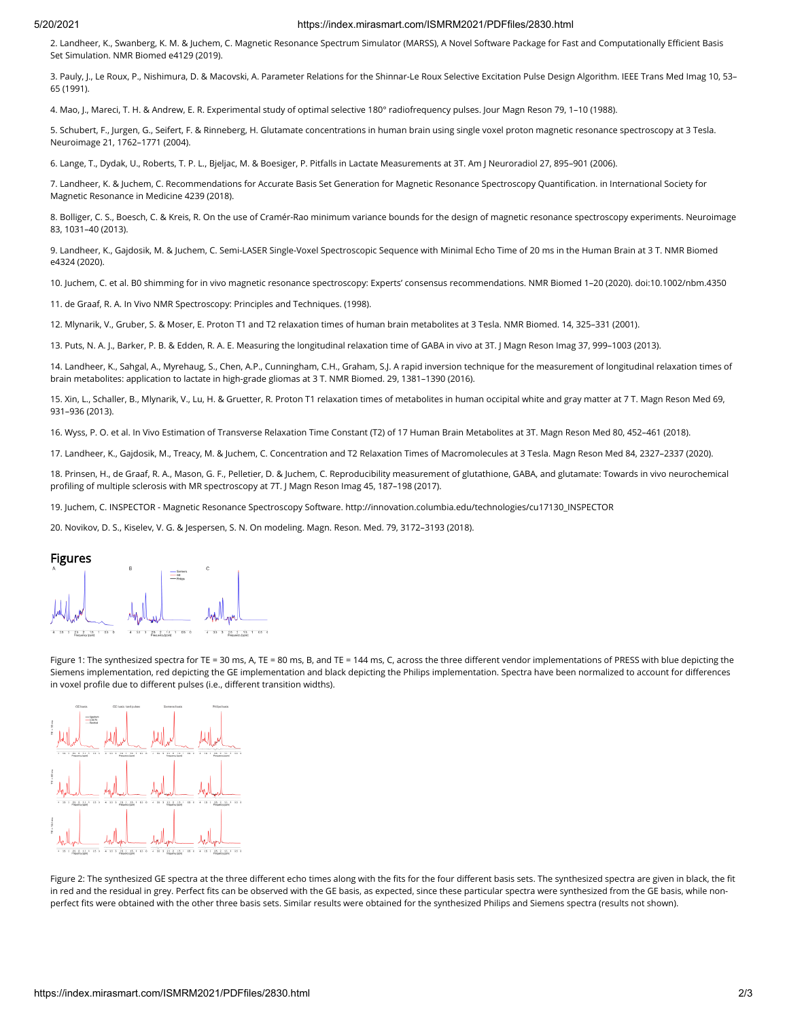#### 5/20/2021 https://index.mirasmart.com/ISMRM2021/PDFfiles/2830.html

2. Landheer, K., Swanberg, K. M. & Juchem, C. Magnetic Resonance Spectrum Simulator (MARSS), A Novel Software Package for Fast and Computationally Efficient Basis Set Simulation. NMR Biomed e4129 (2019).

3. Pauly, J., Le Roux, P., Nishimura, D. & Macovski, A. Parameter Relations for the Shinnar-Le Roux Selective Excitation Pulse Design Algorithm. IEEE Trans Med Imag 10, 53– 65 (1991).

4. Mao, J., Mareci, T. H. & Andrew, E. R. Experimental study of optimal selective 180° radiofrequency pulses. Jour Magn Reson 79, 1–10 (1988).

5. Schubert, F., Jurgen, G., Seifert, F. & Rinneberg, H. Glutamate concentrations in human brain using single voxel proton magnetic resonance spectroscopy at 3 Tesla. Neuroimage 21, 1762–1771 (2004).

6. Lange, T., Dydak, U., Roberts, T. P. L., Bjeljac, M. & Boesiger, P. Pitfalls in Lactate Measurements at 3T. Am J Neuroradiol 27, 895–901 (2006).

7. Landheer, K. & Juchem, C. Recommendations for Accurate Basis Set Generation for Magnetic Resonance Spectroscopy Quantification. in International Society for Magnetic Resonance in Medicine 4239 (2018).

8. Bolliger, C. S., Boesch, C. & Kreis, R. On the use of Cramér-Rao minimum variance bounds for the design of magnetic resonance spectroscopy experiments. Neuroimage 83, 1031–40 (2013).

9. Landheer, K., Gajdosik, M. & Juchem, C. Semi-LASER Single-Voxel Spectroscopic Sequence with Minimal Echo Time of 20 ms in the Human Brain at 3 T. NMR Biomed e4324 (2020).

10. Juchem, C. et al. B0 shimming for in vivo magnetic resonance spectroscopy: Experts' consensus recommendations. NMR Biomed 1–20 (2020). doi:10.1002/nbm.4350

11. de Graaf, R. A. In Vivo NMR Spectroscopy: Principles and Techniques. (1998).

12. Mlynarik, V., Gruber, S. & Moser, E. Proton T1 and T2 relaxation times of human brain metabolites at 3 Tesla. NMR Biomed. 14, 325–331 (2001).

13. Puts, N. A. J., Barker, P. B. & Edden, R. A. E. Measuring the longitudinal relaxation time of GABA in vivo at 3T. J Magn Reson Imag 37, 999–1003 (2013).

14. Landheer, K., Sahgal, A., Myrehaug, S., Chen, A.P., Cunningham, C.H., Graham, S.J. A rapid inversion technique for the measurement of longitudinal relaxation times of brain metabolites: application to lactate in high-grade gliomas at 3 T. NMR Biomed. 29, 1381–1390 (2016).

15. Xin, L., Schaller, B., Mlynarik, V., Lu, H. & Gruetter, R. Proton T1 relaxation times of metabolites in human occipital white and gray matter at 7 T. Magn Reson Med 69, 931–936 (2013).

16. Wyss, P. O. et al. In Vivo Estimation of Transverse Relaxation Time Constant (T2) of 17 Human Brain Metabolites at 3T. Magn Reson Med 80, 452–461 (2018).

17. Landheer, K., Gajdosik, M., Treacy, M. & Juchem, C. Concentration and T2 Relaxation Times of Macromolecules at 3 Tesla. Magn Reson Med 84, 2327–2337 (2020).

18. Prinsen, H., de Graaf, R. A., Mason, G. F., Pelletier, D. & Juchem, C. Reproducibility measurement of glutathione, GABA, and glutamate: Towards in vivo neurochemical profiling of multiple sclerosis with MR spectroscopy at 7T. J Magn Reson Imag 45, 187-198 (2017).

19. Juchem, C. INSPECTOR - Magnetic Resonance Spectroscopy Software. http://innovation.columbia.edu/technologies/cu17130\_INSPECTOR

20. Novikov, D. S., Kiselev, V. G. & Jespersen, S. N. On modeling. Magn. Reson. Med. 79, 3172–3193 (2018).



Figure 1: The synthesized spectra for TE = 30 ms, A, TE = 80 ms, B, and TE = 144 ms, C, across the three different vendor implementations of PRESS with blue depicting the Siemens implementation, red depicting the GE implementation and black depicting the Philips implementation. Spectra have been normalized to account for differences in voxel profile due to different pulses (i.e., different transition widths).



Figure 2: The synthesized GE spectra at the three different echo times along with the fits for the four different basis sets. The synthesized spectra are given in black, the fit in red and the residual in grey. Perfect fits can be observed with the GE basis, as expected, since these particular spectra were synthesized from the GE basis, while nonperfect fits were obtained with the other three basis sets. Similar results were obtained for the synthesized Philips and Siemens spectra (results not shown).